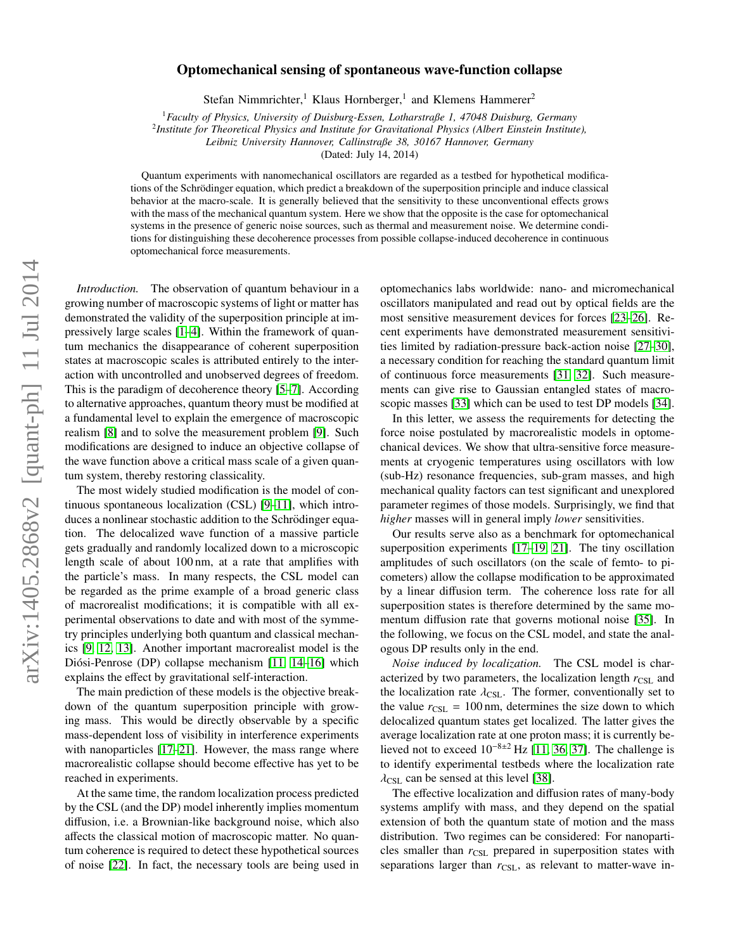# arXiv:1405.2868v2 [quant-ph] 11 Jul 2014 arXiv:1405.2868v2 [quant-ph] 11 Jul 2014

# Optomechanical sensing of spontaneous wave-function collapse

Stefan Nimmrichter,<sup>1</sup> Klaus Hornberger,<sup>1</sup> and Klemens Hammerer<sup>2</sup>

<sup>1</sup>*Faculty of Physics, University of Duisburg-Essen, Lotharstraße 1, 47048 Duisburg, Germany*

2 *Institute for Theoretical Physics and Institute for Gravitational Physics (Albert Einstein Institute),*

*Leibniz University Hannover, Callinstraße 38, 30167 Hannover, Germany*

(Dated: July 14, 2014)

Quantum experiments with nanomechanical oscillators are regarded as a testbed for hypothetical modifications of the Schrodinger equation, which predict a breakdown of the superposition principle and induce classical ¨ behavior at the macro-scale. It is generally believed that the sensitivity to these unconventional effects grows with the mass of the mechanical quantum system. Here we show that the opposite is the case for optomechanical systems in the presence of generic noise sources, such as thermal and measurement noise. We determine conditions for distinguishing these decoherence processes from possible collapse-induced decoherence in continuous optomechanical force measurements.

*Introduction.* The observation of quantum behaviour in a growing number of macroscopic systems of light or matter has demonstrated the validity of the superposition principle at impressively large scales [\[1](#page-3-0)[–4\]](#page-3-1). Within the framework of quantum mechanics the disappearance of coherent superposition states at macroscopic scales is attributed entirely to the interaction with uncontrolled and unobserved degrees of freedom. This is the paradigm of decoherence theory [\[5–](#page-3-2)[7\]](#page-3-3). According to alternative approaches, quantum theory must be modified at a fundamental level to explain the emergence of macroscopic realism [\[8\]](#page-3-4) and to solve the measurement problem [\[9\]](#page-3-5). Such modifications are designed to induce an objective collapse of the wave function above a critical mass scale of a given quantum system, thereby restoring classicality.

The most widely studied modification is the model of continuous spontaneous localization (CSL) [\[9](#page-3-5)[–11\]](#page-3-6), which introduces a nonlinear stochastic addition to the Schrödinger equation. The delocalized wave function of a massive particle gets gradually and randomly localized down to a microscopic length scale of about 100 nm, at a rate that amplifies with the particle's mass. In many respects, the CSL model can be regarded as the prime example of a broad generic class of macrorealist modifications; it is compatible with all experimental observations to date and with most of the symmetry principles underlying both quantum and classical mechanics [\[9,](#page-3-5) [12,](#page-3-7) [13\]](#page-3-8). Another important macrorealist model is the Diósi-Penrose (DP) collapse mechanism [\[11,](#page-3-6) [14–](#page-3-9)[16\]](#page-3-10) which explains the effect by gravitational self-interaction.

The main prediction of these models is the objective breakdown of the quantum superposition principle with growing mass. This would be directly observable by a specific mass-dependent loss of visibility in interference experiments with nanoparticles [\[17](#page-3-11)[–21\]](#page-4-0). However, the mass range where macrorealistic collapse should become effective has yet to be reached in experiments.

At the same time, the random localization process predicted by the CSL (and the DP) model inherently implies momentum diffusion, i.e. a Brownian-like background noise, which also affects the classical motion of macroscopic matter. No quantum coherence is required to detect these hypothetical sources of noise [\[22\]](#page-4-1). In fact, the necessary tools are being used in

optomechanics labs worldwide: nano- and micromechanical oscillators manipulated and read out by optical fields are the most sensitive measurement devices for forces [\[23–](#page-4-2)[26\]](#page-4-3). Recent experiments have demonstrated measurement sensitivities limited by radiation-pressure back-action noise [\[27](#page-4-4)[–30\]](#page-4-5), a necessary condition for reaching the standard quantum limit of continuous force measurements [\[31,](#page-4-6) [32\]](#page-4-7). Such measurements can give rise to Gaussian entangled states of macroscopic masses [\[33\]](#page-4-8) which can be used to test DP models [\[34\]](#page-4-9).

In this letter, we assess the requirements for detecting the force noise postulated by macrorealistic models in optomechanical devices. We show that ultra-sensitive force measurements at cryogenic temperatures using oscillators with low (sub-Hz) resonance frequencies, sub-gram masses, and high mechanical quality factors can test significant and unexplored parameter regimes of those models. Surprisingly, we find that *higher* masses will in general imply *lower* sensitivities.

Our results serve also as a benchmark for optomechanical superposition experiments [\[17–](#page-3-11)[19,](#page-3-12) [21\]](#page-4-0). The tiny oscillation amplitudes of such oscillators (on the scale of femto- to picometers) allow the collapse modification to be approximated by a linear diffusion term. The coherence loss rate for all superposition states is therefore determined by the same momentum diffusion rate that governs motional noise [\[35\]](#page-4-10). In the following, we focus on the CSL model, and state the analogous DP results only in the end.

*Noise induced by localization.* The CSL model is characterized by two parameters, the localization length  $r_{\text{CSL}}$  and the localization rate  $\lambda_{\text{CSL}}$ . The former, conventionally set to the value  $r_{\text{CSL}} = 100 \text{ nm}$ , determines the size down to which delocalized quantum states get localized. The latter gives the average localization rate at one proton mass; it is currently believed not to exceed 10<sup>−</sup>8±<sup>2</sup> Hz [\[11,](#page-3-6) [36,](#page-4-11) [37\]](#page-4-12). The challenge is to identify experimental testbeds where the localization rate  $\lambda_{\text{CSL}}$  can be sensed at this level [\[38\]](#page-4-13).

The effective localization and diffusion rates of many-body systems amplify with mass, and they depend on the spatial extension of both the quantum state of motion and the mass distribution. Two regimes can be considered: For nanoparticles smaller than  $r_{\text{CSL}}$  prepared in superposition states with separations larger than  $r_{\text{CSL}}$ , as relevant to matter-wave in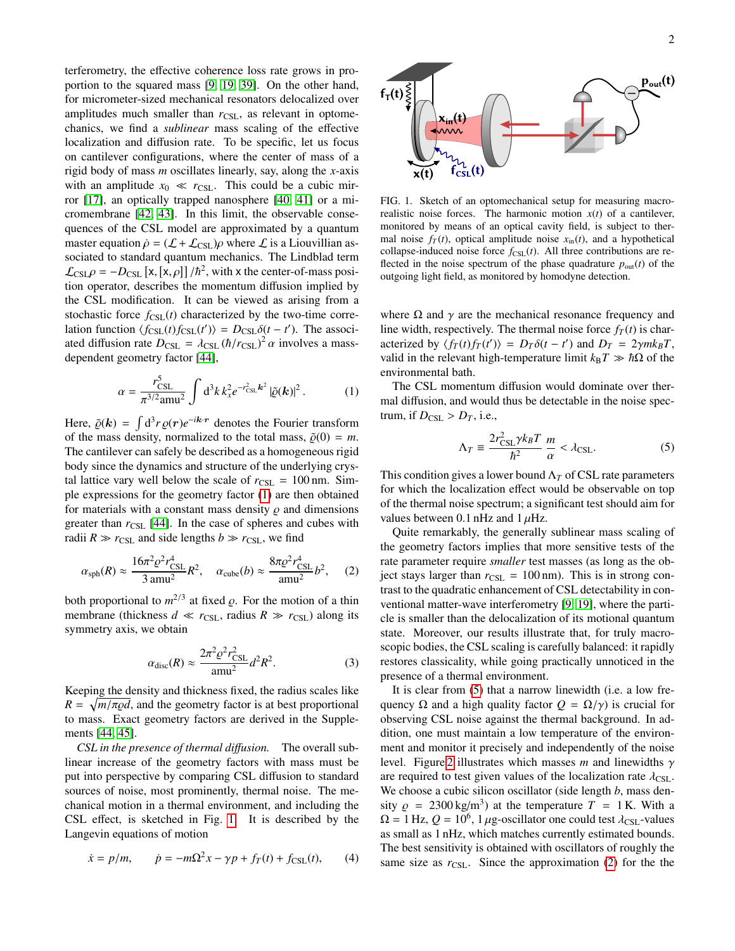terferometry, the effective coherence loss rate grows in proportion to the squared mass [\[9,](#page-3-5) [19,](#page-3-12) [39\]](#page-4-14). On the other hand, for micrometer-sized mechanical resonators delocalized over amplitudes much smaller than  $r_{\text{CSL}}$ , as relevant in optomechanics, we find a *sublinear* mass scaling of the effective localization and diffusion rate. To be specific, let us focus on cantilever configurations, where the center of mass of a rigid body of mass *m* oscillates linearly, say, along the *x*-axis with an amplitude  $x_0 \ll r_{\text{CSL}}$ . This could be a cubic mirror [\[17\]](#page-3-11), an optically trapped nanosphere [\[40,](#page-4-15) [41\]](#page-4-16) or a micromembrane [\[42,](#page-4-17) [43\]](#page-4-18). In this limit, the observable consequences of the CSL model are approximated by a quantum master equation  $\dot{\rho} = (\mathcal{L} + \mathcal{L}_{\text{CSL}})\rho$  where  $\mathcal{L}$  is a Liouvillian associated to standard quantum mechanics. The Lindblad term  $\mathcal{L}_{\text{CSL}}\rho = -D_{\text{CSL}} [\mathbf{x}, [\mathbf{x}, \rho]]/\hbar^2$ , with x the center-of-mass position operator, describes the momentum diffusion implied by tion operator, describes the momentum diffusion implied by the CSL modification. It can be viewed as arising from a stochastic force  $f_{CSL}(t)$  characterized by the two-time correlation function  $\langle f_{\text{CSL}}(t) f_{\text{CSL}}(t') \rangle = D_{\text{CSL}} \delta(t - t')$ . The associ-<br>ated diffusion rate  $D_{\text{CSL}} = \frac{1}{2} \exp{(\hbar / r_{\text{CSL}})^2} \alpha$  involves a massated diffusion rate  $D_{CSL} = \lambda_{CSL} (\hbar/r_{CSL})^2 \alpha$  involves a mass-<br>dependent geometry factor [44] dependent geometry factor [\[44\]](#page-4-19),

$$
\alpha = \frac{r_{\rm CSL}^5}{\pi^{3/2} \text{amu}^2} \int d^3k \, k_x^2 e^{-r_{\rm CSL}^2 \, k^2} \, |\tilde{\varrho}(\mathbf{k})|^2 \,. \tag{1}
$$

Here,  $\tilde{\varrho}(k) = \int d^3r \varrho(r) e^{-ik \cdot r}$  denotes the Fourier transform<br>of the mass density, pormalized to the total mass  $\tilde{\varrho}(0) = m$ of the mass density, normalized to the total mass,  $\tilde{\rho}(0) = m$ . The cantilever can safely be described as a homogeneous rigid body since the dynamics and structure of the underlying crystal lattice vary well below the scale of  $r_{CSL} = 100$  nm. Simple expressions for the geometry factor [\(1\)](#page-1-0) are then obtained for materials with a constant mass density  $\rho$  and dimensions greater than  $r_{\text{CSL}}$  [\[44\]](#page-4-19). In the case of spheres and cubes with radii  $R \gg r_{\text{CSL}}$  and side lengths  $b \gg r_{\text{CSL}}$ , we find

<span id="page-1-3"></span>
$$
\alpha_{\rm sph}(R) \approx \frac{16\pi^2 \varrho^2 r_{\rm CSL}^4}{3 \text{ amu}^2} R^2, \quad \alpha_{\rm cube}(b) \approx \frac{8\pi \varrho^2 r_{\rm CSL}^4}{\text{ amu}^2} b^2, \quad (2)
$$

both proportional to  $m^{2/3}$  at fixed  $\rho$ . For the motion of a thin membrane (thickness  $d \ll r_{\text{esc}}$ , radius  $R \gg r_{\text{esc}}$ ) along its membrane (thickness  $d \ll r_{\text{CSL}}$ , radius  $R \gg r_{\text{CSL}}$ ) along its symmetry axis, we obtain

$$
\alpha_{\text{disc}}(R) \approx \frac{2\pi^2 \varrho^2 r_{\text{CSL}}^2}{\text{amu}^2} d^2 R^2. \tag{3}
$$

Keeping the density and thickness fixed, the radius scales like  $R = \sqrt{m/\pi \omega d}$ , and the geometry factor is at best proportional<br>to mass. Exact geometry factors are derived in the Suppleto mass. Exact geometry factors are derived in the Supplements [\[44,](#page-4-19) [45\]](#page-4-20).

*CSL in the presence of thermal di*ff*usion.* The overall sublinear increase of the geometry factors with mass must be put into perspective by comparing CSL diffusion to standard sources of noise, most prominently, thermal noise. The mechanical motion in a thermal environment, and including the CSL effect, is sketched in Fig. [1.](#page-1-1) It is described by the Langevin equations of motion

$$
\dot{x} = p/m,
$$
  $\dot{p} = -m\Omega^2 x - \gamma p + f_T(t) + f_{\text{CSL}}(t),$  (4)



<span id="page-1-1"></span>FIG. 1. Sketch of an optomechanical setup for measuring macrorealistic noise forces. The harmonic motion  $x(t)$  of a cantilever, monitored by means of an optical cavity field, is subject to thermal noise  $f_T(t)$ , optical amplitude noise  $x_{in}(t)$ , and a hypothetical collapse-induced noise force  $f_{CSL}(t)$ . All three contributions are reflected in the noise spectrum of the phase quadrature  $p_{\text{out}}(t)$  of the outgoing light field, as monitored by homodyne detection.

where  $\Omega$  and  $\gamma$  are the mechanical resonance frequency and line width, respectively. The thermal noise force  $f_T(t)$  is characterized by  $\langle f_T(t) f_T(t') \rangle = D_T \delta(t - t')$  and  $D_T = 2 \gamma m k_B T$ , valid in the relevant high-temperature limit  $k_B T \gg \hbar Q$  of the valid in the relevant high-temperature limit  $k_B T \gg \hbar \Omega$  of the environmental bath.

<span id="page-1-0"></span>The CSL momentum diffusion would dominate over thermal diffusion, and would thus be detectable in the noise spectrum, if  $D_{\text{CSL}} > D_T$ , i.e.,

<span id="page-1-2"></span>
$$
\Lambda_T \equiv \frac{2r_{\text{CSL}}^2 \gamma k_B T}{\hbar^2} \frac{m}{\alpha} < \lambda_{\text{CSL}}.
$$
 (5)

This condition gives a lower bound  $\Lambda_T$  of CSL rate parameters for which the localization effect would be observable on top of the thermal noise spectrum; a significant test should aim for values between 0.1 nHz and 1  $\mu$ Hz.

Quite remarkably, the generally sublinear mass scaling of the geometry factors implies that more sensitive tests of the rate parameter require *smaller* test masses (as long as the object stays larger than  $r_{\text{CSL}} = 100 \text{ nm}$ . This is in strong contrast to the quadratic enhancement of CSL detectability in conventional matter-wave interferometry [\[9,](#page-3-5) [19\]](#page-3-12), where the particle is smaller than the delocalization of its motional quantum state. Moreover, our results illustrate that, for truly macroscopic bodies, the CSL scaling is carefully balanced: it rapidly restores classicality, while going practically unnoticed in the presence of a thermal environment.

<span id="page-1-4"></span>It is clear from [\(5\)](#page-1-2) that a narrow linewidth (i.e. a low frequency  $\Omega$  and a high quality factor  $Q = \Omega/\gamma$ ) is crucial for observing CSL noise against the thermal background. In addition, one must maintain a low temperature of the environment and monitor it precisely and independently of the noise level. Figure [2](#page-2-0) illustrates which masses *<sup>m</sup>* and linewidths γ are required to test given values of the localization rate  $\lambda_{\text{CSL}}$ . We choose a cubic silicon oscillator (side length *b*, mass density  $\rho = 2300 \text{ kg/m}^3$  at the temperature  $T = 1 \text{ K}$ . With a  $\Omega = 1 \text{ Hz}$   $\rho = 10^6 \text{ J}$  we oscillator one could test  $\lambda_{\text{ext}}$  values  $\Omega = 1$  Hz,  $Q = 10^6$ , 1 µg-oscillator one could test  $\lambda_{\text{CSL}}$ -values as small as 1 nHz, which matches currently estimated bounds. The best sensitivity is obtained with oscillators of roughly the same size as  $r_{\text{CSL}}$ . Since the approximation [\(2\)](#page-1-3) for the the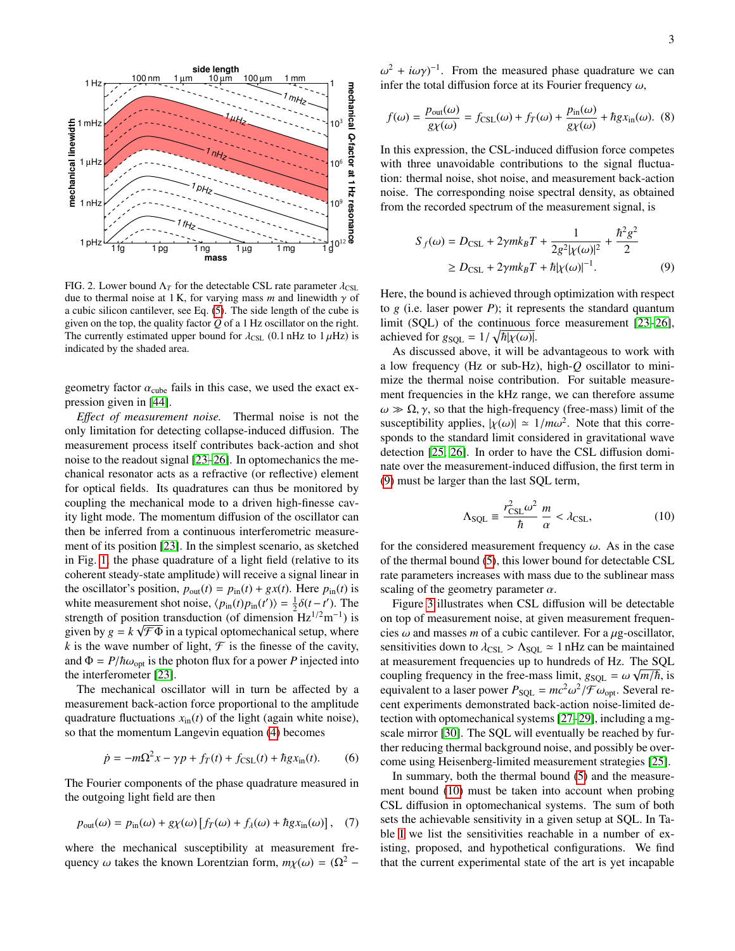

<span id="page-2-0"></span>FIG. 2. Lower bound  $\Lambda_T$  for the detectable CSL rate parameter  $\lambda_{\text{CSL}}$ due to thermal noise at 1 K, for varying mass *m* and linewidth  $\gamma$  of a cubic silicon cantilever, see Eq. [\(5\)](#page-1-2). The side length of the cube is given on the top, the quality factor *Q* of a 1 Hz oscillator on the right. The currently estimated upper bound for  $\lambda_{\text{CSL}}$  (0.1 nHz to 1  $\mu$ Hz) is indicated by the shaded area.

geometry factor  $\alpha_{\rm cube}$  fails in this case, we used the exact expression given in [\[44\]](#page-4-19).

*E*ff*ect of measurement noise.* Thermal noise is not the only limitation for detecting collapse-induced diffusion. The measurement process itself contributes back-action and shot noise to the readout signal [\[23–](#page-4-2)[26\]](#page-4-3). In optomechanics the mechanical resonator acts as a refractive (or reflective) element for optical fields. Its quadratures can thus be monitored by coupling the mechanical mode to a driven high-finesse cavity light mode. The momentum diffusion of the oscillator can then be inferred from a continuous interferometric measurement of its position [\[23\]](#page-4-2). In the simplest scenario, as sketched in Fig. [1,](#page-1-1) the phase quadrature of a light field (relative to its coherent steady-state amplitude) will receive a signal linear in the oscillator's position,  $p_{out}(t) = p_{in}(t) + gx(t)$ . Here  $p_{in}(t)$  is white measurement shot noise,  $\langle p_{\text{in}}(t)p_{\text{in}}(t') \rangle = \frac{1}{2}\delta(t-t')$ . The strength of position transduction (of dimension Hz<sup>1/2</sup>m<sup>-1</sup>) is strength of position transduction (of dimension  $Hz^{1/2}m^{-1}$ ) is given by  $g = k \sqrt{\mathcal{F} \Phi}$  in a typical optomechanical setup, where *k* is the wave number of light,  $\mathcal F$  is the finesse of the cavity, and  $\Phi = P/\hbar\omega_{\text{opt}}$  is the photon flux for a power *P* injected into the interferometer [\[23\]](#page-4-2).

The mechanical oscillator will in turn be affected by a measurement back-action force proportional to the amplitude quadrature fluctuations  $x_{\text{in}}(t)$  of the light (again white noise), so that the momentum Langevin equation [\(4\)](#page-1-4) becomes

$$
\dot{p} = -m\Omega^2 x - \gamma p + f_T(t) + f_{\text{CSL}}(t) + \hbar g x_{\text{in}}(t). \tag{6}
$$

The Fourier components of the phase quadrature measured in the outgoing light field are then

$$
p_{\text{out}}(\omega) = p_{\text{in}}(\omega) + g\chi(\omega) \left[ f_T(\omega) + f_\lambda(\omega) + h g x_{\text{in}}(\omega) \right], \quad (7)
$$

where the mechanical susceptibility at measurement frequency  $\omega$  takes the known Lorentzian form,  $m\chi(\omega) = (\Omega^2 -$  infer the total diffusion force at its Fourier frequency  $\omega$ , <sup>2</sup> + *iωγ*)<sup>-1</sup>. From the measured phase quadrature we can<br>fer the total diffusion force at its Fourier frequency ω

$$
f(\omega) = \frac{p_{\text{out}}(\omega)}{g\chi(\omega)} = f_{\text{CSL}}(\omega) + f_T(\omega) + \frac{p_{\text{in}}(\omega)}{g\chi(\omega)} + \hbar g x_{\text{in}}(\omega). \tag{8}
$$

In this expression, the CSL-induced diffusion force competes with three unavoidable contributions to the signal fluctuation: thermal noise, shot noise, and measurement back-action noise. The corresponding noise spectral density, as obtained from the recorded spectrum of the measurement signal, is

<span id="page-2-1"></span>
$$
S_f(\omega) = D_{\text{CSL}} + 2\gamma m k_B T + \frac{1}{2g^2 |\chi(\omega)|^2} + \frac{\hbar^2 g^2}{2} \ge D_{\text{CSL}} + 2\gamma m k_B T + \hbar |\chi(\omega)|^{-1}.
$$
 (9)

Here, the bound is achieved through optimization with respect to *g* (i.e. laser power *P*); it represents the standard quantum limit (SQL) of the continuous force measurement [\[23](#page-4-2)[–26\]](#page-4-3), achieved for  $g_{SQL} = 1/\sqrt{\hbar |\chi(\omega)|}$ .<br>As discussed above it will be

As discussed above, it will be advantageous to work with a low frequency (Hz or sub-Hz), high-*Q* oscillator to minimize the thermal noise contribution. For suitable measurement frequencies in the kHz range, we can therefore assume  $\omega \gg \Omega$ ,  $\gamma$ , so that the high-frequency (free-mass) limit of the susceptibility applies,  $|\chi(\omega)| \approx 1/m\omega^2$ . Note that this corre-<br>sponds to the standard limit considered in gravitational wave sponds to the standard limit considered in gravitational wave detection [\[25,](#page-4-21) [26\]](#page-4-3). In order to have the CSL diffusion dominate over the measurement-induced diffusion, the first term in [\(9\)](#page-2-1) must be larger than the last SQL term,

<span id="page-2-2"></span>
$$
\Lambda_{\text{SQL}} \equiv \frac{r_{\text{CSL}}^2 \omega^2}{\hbar} \frac{m}{\alpha} < \lambda_{\text{CSL}},\tag{10}
$$

for the considered measurement frequency  $\omega$ . As in the case of the thermal bound [\(5\)](#page-1-2), this lower bound for detectable CSL rate parameters increases with mass due to the sublinear mass scaling of the geometry parameter  $\alpha$ .

Figure [3](#page-3-13) illustrates when CSL diffusion will be detectable on top of measurement noise, at given measurement frequencies  $\omega$  and masses *m* of a cubic cantilever. For a  $\mu$ g-oscillator, sensitivities down to  $\lambda_{\text{CSL}} > \Lambda_{\text{SQL}} \approx 1$  nHz can be maintained at measurement frequencies up to hundreds of Hz. The SQL coupling frequency in the free-mass limit,  $g_{SQL} = \omega \sqrt{m/\hbar}$ , is<br>equivalent to a laser power  $P_{SCX} = mc^2 \omega^2 / F \omega$ . Several reequivalent to a laser power  $P_{\text{SQL}} = mc^2 \omega^2 / \mathcal{F} \omega_{\text{opt}}$ . Several re-<br>cent experiments demonstrated back-action poise-limited decent experiments demonstrated back-action noise-limited detection with optomechanical systems [\[27](#page-4-4)[–29\]](#page-4-22), including a mgscale mirror [\[30\]](#page-4-5). The SQL will eventually be reached by further reducing thermal background noise, and possibly be overcome using Heisenberg-limited measurement strategies [\[25\]](#page-4-21).

In summary, both the thermal bound [\(5\)](#page-1-2) and the measurement bound [\(10\)](#page-2-2) must be taken into account when probing CSL diffusion in optomechanical systems. The sum of both sets the achievable sensitivity in a given setup at SQL. In Table [I](#page-4-23) we list the sensitivities reachable in a number of existing, proposed, and hypothetical configurations. We find that the current experimental state of the art is yet incapable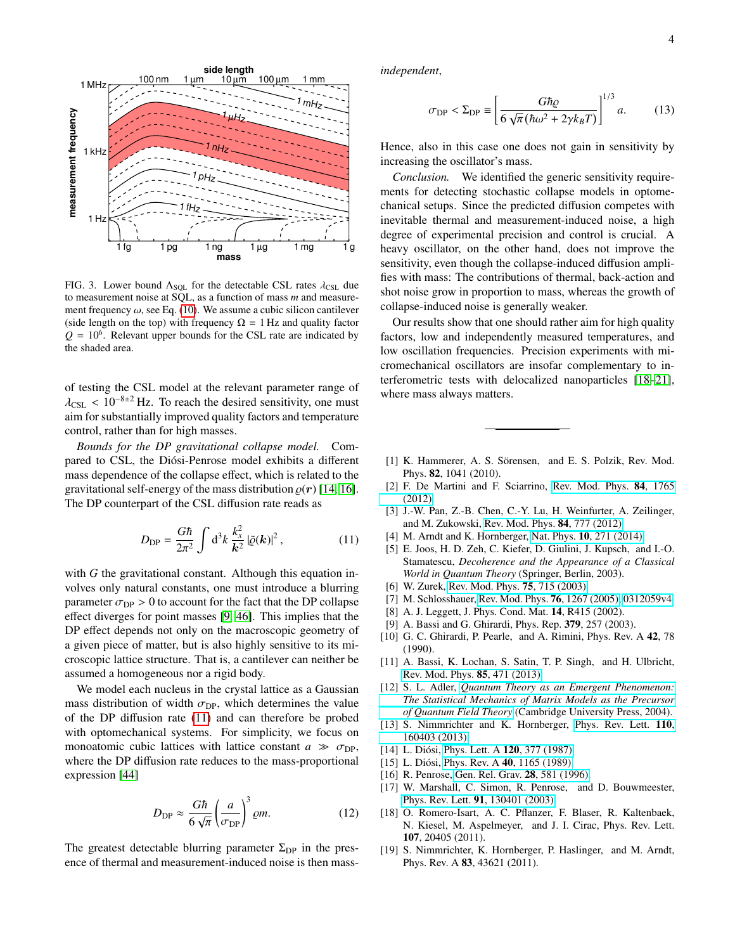

<span id="page-3-13"></span>FIG. 3. Lower bound  $\Lambda_{\text{SOL}}$  for the detectable CSL rates  $\lambda_{\text{CSL}}$  due to measurement noise at SQL, as a function of mass *m* and measurement frequency  $\omega$ , see Eq. [\(10\)](#page-2-2). We assume a cubic silicon cantilever (side length on the top) with frequency  $\Omega = 1$  Hz and quality factor  $Q = 10<sup>6</sup>$ . Relevant upper bounds for the CSL rate are indicated by the shaded area.

of testing the CSL model at the relevant parameter range of  $\lambda_{\text{CSL}}$  < 10<sup>-8±2</sup> Hz. To reach the desired sensitivity, one must aim for substantially improved quality factors and temperature control, rather than for high masses.

*Bounds for the DP gravitational collapse model.* Compared to CSL, the Diósi-Penrose model exhibits a different mass dependence of the collapse effect, which is related to the gravitational self-energy of the mass distribution  $\rho(r)$  [\[14,](#page-3-9) [16\]](#page-3-10). The DP counterpart of the CSL diffusion rate reads as

$$
D_{\rm DP} = \frac{G\hbar}{2\pi^2} \int d^3k \, \frac{k_x^2}{k^2} \left| \tilde{\varrho}(\mathbf{k}) \right|^2, \tag{11}
$$

with *G* the gravitational constant. Although this equation involves only natural constants, one must introduce a blurring parameter  $\sigma_{\text{DP}} > 0$  to account for the fact that the DP collapse effect diverges for point masses [\[9,](#page-3-5) [46\]](#page-4-24). This implies that the DP effect depends not only on the macroscopic geometry of a given piece of matter, but is also highly sensitive to its microscopic lattice structure. That is, a cantilever can neither be assumed a homogeneous nor a rigid body.

We model each nucleus in the crystal lattice as a Gaussian mass distribution of width  $\sigma_{\text{DP}}$ , which determines the value of the DP diffusion rate [\(11\)](#page-3-14) and can therefore be probed with optomechanical systems. For simplicity, we focus on monoatomic cubic lattices with lattice constant  $a \gg \sigma_{DP}$ , where the DP diffusion rate reduces to the mass-proportional expression [\[44\]](#page-4-19)

$$
D_{\rm DP} \approx \frac{G\hbar}{6\sqrt{\pi}} \left(\frac{a}{\sigma_{\rm DP}}\right)^3 \varrho m. \tag{12}
$$

The greatest detectable blurring parameter  $\Sigma_{DP}$  in the presence of thermal and measurement-induced noise is then mass*independent*,

$$
\sigma_{\rm DP} < \Sigma_{\rm DP} \equiv \left[ \frac{G\hbar \varrho}{6\sqrt{\pi} \left( \hbar \omega^2 + 2\gamma k_B T \right)} \right]^{1/3} a. \tag{13}
$$

Hence, also in this case one does not gain in sensitivity by increasing the oscillator's mass.

*Conclusion.* We identified the generic sensitivity requirements for detecting stochastic collapse models in optomechanical setups. Since the predicted diffusion competes with inevitable thermal and measurement-induced noise, a high degree of experimental precision and control is crucial. A heavy oscillator, on the other hand, does not improve the sensitivity, even though the collapse-induced diffusion amplifies with mass: The contributions of thermal, back-action and shot noise grow in proportion to mass, whereas the growth of collapse-induced noise is generally weaker.

Our results show that one should rather aim for high quality factors, low and independently measured temperatures, and low oscillation frequencies. Precision experiments with micromechanical oscillators are insofar complementary to interferometric tests with delocalized nanoparticles [\[18](#page-3-15)[–21\]](#page-4-0), where mass always matters.

- <span id="page-3-0"></span>[1] K. Hammerer, A. S. Sörensen, and E. S. Polzik, Rev. Mod. Phys. 82, 1041 (2010).
- [2] F. De Martini and F. Sciarrino, [Rev. Mod. Phys.](http://dx.doi.org/10.1103/RevModPhys.84.1765) 84, 1765 [\(2012\).](http://dx.doi.org/10.1103/RevModPhys.84.1765)
- [3] J.-W. Pan, Z.-B. Chen, C.-Y. Lu, H. Weinfurter, A. Zeilinger, and M. Zukowski, [Rev. Mod. Phys.](http://dx.doi.org/ 10.1103/RevModPhys.84.777) 84, 777 (2012).
- <span id="page-3-14"></span><span id="page-3-1"></span>[4] M. Arndt and K. Hornberger, Nat. Phys. **10**[, 271 \(2014\).](http://dx.doi.org/10.1038/nphys2863)
- <span id="page-3-2"></span>[5] E. Joos, H. D. Zeh, C. Kiefer, D. Giulini, J. Kupsch, and I.-O. Stamatescu, *Decoherence and the Appearance of a Classical World in Quantum Theory* (Springer, Berlin, 2003).
- [6] W. Zurek, [Rev. Mod. Phys.](http://rmp.aps.org/abstract/RMP/v75/i3/p715_1) **75**, 715 (2003).
- <span id="page-3-3"></span>[7] M. Schlosshauer, [Rev. Mod. Phys.](http://dx.doi.org/10.1103/RevModPhys.76.1267) **76**, 1267 (2005), [0312059v4.](http://arxiv.org/abs/0312059v4)
- <span id="page-3-4"></span>[8] A. J. Leggett, J. Phys. Cond. Mat. **14**, R415 (2002).
- <span id="page-3-5"></span>[9] A. Bassi and G. Ghirardi, Phys. Rep. 379, 257 (2003).
- [10] G. C. Ghirardi, P. Pearle, and A. Rimini, Phys. Rev. A 42, 78 (1990).
- <span id="page-3-6"></span>[11] A. Bassi, K. Lochan, S. Satin, T. P. Singh, and H. Ulbricht, [Rev. Mod. Phys.](http://dx.doi.org/ 10.1103/RevModPhys.85.471) 85, 471 (2013).
- <span id="page-3-7"></span>[12] S. L. Adler, *[Quantum Theory as an Emergent Phenomenon:](http://www.amazon.com/Quantum-Theory-Emergent-Phenomenon-Statistical/dp/0521831946) [The Statistical Mechanics of Matrix Models as the Precursor](http://www.amazon.com/Quantum-Theory-Emergent-Phenomenon-Statistical/dp/0521831946) [of Quantum Field Theory](http://www.amazon.com/Quantum-Theory-Emergent-Phenomenon-Statistical/dp/0521831946)* (Cambridge University Press, 2004).
- <span id="page-3-8"></span>[13] S. Nimmrichter and K. Hornberger, [Phys. Rev. Lett.](http://dx.doi.org/10.1103/PhysRevLett.110.160403) 110, [160403 \(2013\).](http://dx.doi.org/10.1103/PhysRevLett.110.160403)
- <span id="page-3-9"></span>[14] L. Diósi, [Phys. Lett. A](http://dx.doi.org/10.1016/0375-9601(87)90681-5) **120**, 377 (1987).
- [15] L. Diósi, Phys. Rev. A  $40$ [, 1165 \(1989\).](http://dx.doi.org/10.1103/PhysRevA.40.1165)
- <span id="page-3-10"></span>[16] R. Penrose, [Gen. Rel. Grav.](http://www.springerlink.com/index/k75046wh3668l654.pdf) **28**, 581 (1996).
- <span id="page-3-11"></span>[17] W. Marshall, C. Simon, R. Penrose, and D. Bouwmeester, Phys. Rev. Lett. 91[, 130401 \(2003\).](http://dx.doi.org/10.1103/PhysRevLett.91.130401)
- <span id="page-3-15"></span>[18] O. Romero-Isart, A. C. Pflanzer, F. Blaser, R. Kaltenbaek, N. Kiesel, M. Aspelmeyer, and J. I. Cirac, Phys. Rev. Lett. 107, 20405 (2011).
- <span id="page-3-12"></span>[19] S. Nimmrichter, K. Hornberger, P. Haslinger, and M. Arndt, Phys. Rev. A 83, 43621 (2011).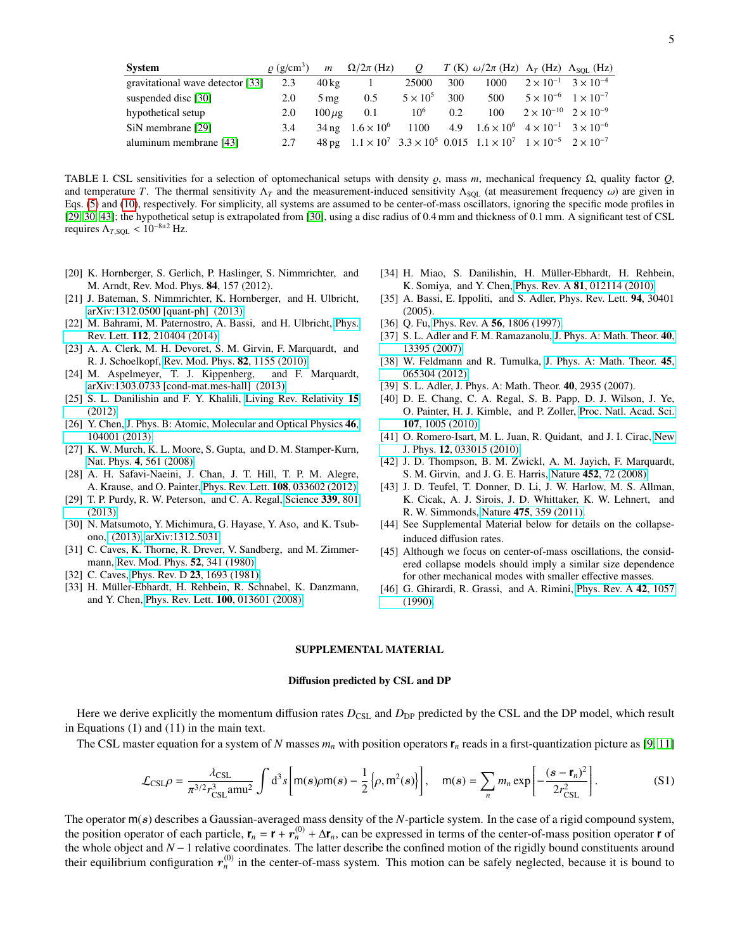| System                           |     |                   | $\rho$ (g/cm <sup>3</sup> ) $m \Omega/2\pi$ (Hz) |                 |     | Q $T(K) \omega/2\pi$ (Hz) $\Lambda_T$ (Hz) $\Lambda_{SOL}$ (Hz)                                         |                                        |
|----------------------------------|-----|-------------------|--------------------------------------------------|-----------------|-----|---------------------------------------------------------------------------------------------------------|----------------------------------------|
| gravitational wave detector [33] | 2.3 | $40\,\mathrm{kg}$ |                                                  | 25000           | 300 | 1000                                                                                                    | $2 \times 10^{-1}$ $3 \times 10^{-4}$  |
| suspended disc [30]              | 2.0 | $5 \,\mathrm{mg}$ | 0.5                                              | $5 \times 10^5$ | 300 | 500                                                                                                     | $5 \times 10^{-6}$ $1 \times 10^{-7}$  |
| hypothetical setup               | 2.0 | $100 \mu$ g       | 0.1                                              | $10^6$          | 0.2 | 100                                                                                                     | $2 \times 10^{-10}$ $2 \times 10^{-9}$ |
| SiN membrane [29]                | 3.4 |                   |                                                  |                 |     | $34 \text{ ng } 1.6 \times 10^6$ 1100 4.9 $1.6 \times 10^6$ $4 \times 10^{-1}$ $3 \times 10^{-6}$       |                                        |
| aluminum membrane [43]           | 2.7 |                   |                                                  |                 |     | 48 pg $1.1 \times 10^7$ $3.3 \times 10^5$ 0.015 $1.1 \times 10^7$ $1 \times 10^{-5}$ $2 \times 10^{-7}$ |                                        |
|                                  |     |                   |                                                  |                 |     |                                                                                                         |                                        |

<span id="page-4-23"></span>TABLE I. CSL sensitivities for a selection of optomechanical setups with density  $\varrho$ , mass *m*, mechanical frequency  $\Omega$ , quality factor  $Q$ , and temperature *T*. The thermal sensitivity  $\Lambda_T$  and the measurement-induced sensitivity  $\Lambda_{\text{SOL}}$  (at measurement frequency  $\omega$ ) are given in Eqs. [\(5\)](#page-1-2) and [\(10\)](#page-2-2), respectively. For simplicity, all systems are assumed to be center-of-mass oscillators, ignoring the specific mode profiles in [\[29,](#page-4-22) [30,](#page-4-5) [43\]](#page-4-18); the hypothetical setup is extrapolated from [\[30\]](#page-4-5), using a disc radius of 0.4 mm and thickness of 0.1 mm. A significant test of CSL requires  $\Lambda_{T,\text{SOL}} < 10^{-8 \pm 2}$  Hz.

- [20] K. Hornberger, S. Gerlich, P. Haslinger, S. Nimmrichter, and M. Arndt, Rev. Mod. Phys. 84, 157 (2012).
- <span id="page-4-0"></span>[21] J. Bateman, S. Nimmrichter, K. Hornberger, and H. Ulbricht, [arXiv:1312.0500 \[quant-ph\] \(2013\).](http://arxiv.org/abs/1312.0500)
- <span id="page-4-1"></span>[22] M. Bahrami, M. Paternostro, A. Bassi, and H. Ulbricht, [Phys.](http://dx.doi.org/10.1103/PhysRevLett.112.210404) Rev. Lett. 112[, 210404 \(2014\).](http://dx.doi.org/10.1103/PhysRevLett.112.210404)
- <span id="page-4-2"></span>[23] A. A. Clerk, M. H. Devoret, S. M. Girvin, F. Marquardt, and R. J. Schoelkopf, [Rev. Mod. Phys.](http://link.aps.org/doi/10.1103/RevModPhys.82.1155) 82, 1155 (2010).
- [24] M. Aspelmeyer, T. J. Kippenberg, and F. Marquardt, [arXiv:1303.0733 \[cond-mat.mes-hall\] \(2013\).](http://arxiv.org/abs/1303.0733)
- <span id="page-4-21"></span>[25] S. L. Danilishin and F. Y. Khalili, [Living Rev. Relativity](http://relativity.livingreviews.org/Articles/lrr-2012-5/) 15 [\(2012\).](http://relativity.livingreviews.org/Articles/lrr-2012-5/)
- <span id="page-4-3"></span>[26] Y. Chen, [J. Phys. B: Atomic, Molecular and Optical Physics](http://dx.doi.org/10.1088/0953-4075/46/10/104001) 46, [104001 \(2013\).](http://dx.doi.org/10.1088/0953-4075/46/10/104001)
- <span id="page-4-4"></span>[27] K. W. Murch, K. L. Moore, S. Gupta, and D. M. Stamper-Kurn, Nat. Phys. 4[, 561 \(2008\).](http://dx.doi.org/10.1038/nphys965)
- [28] A. H. Safavi-Naeini, J. Chan, J. T. Hill, T. P. M. Alegre, A. Krause, and O. Painter, Phys. Rev. Lett. 108[, 033602 \(2012\).](http://dx.doi.org/ 10.1103/PhysRevLett.108.033602)
- <span id="page-4-22"></span>[29] T. P. Purdy, R. W. Peterson, and C. A. Regal, [Science](http://dx.doi.org/10.1126/science.1231282) 339, 801 [\(2013\).](http://dx.doi.org/10.1126/science.1231282)
- <span id="page-4-5"></span>[30] N. Matsumoto, Y. Michimura, G. Hayase, Y. Aso, and K. Tsubono, [\(2013\), arXiv:1312.5031.](http://arxiv.org/abs/1312.5031)
- <span id="page-4-6"></span>[31] C. Caves, K. Thorne, R. Drever, V. Sandberg, and M. Zimmermann, [Rev. Mod. Phys.](http://link.aps.org/doi/10.1103/RevModPhys.52.341) 52, 341 (1980).
- <span id="page-4-7"></span>[32] C. Caves, Phys. Rev. D 23[, 1693 \(1981\).](http://dx.doi.org/10.1103/PhysRevD.23.1693)
- <span id="page-4-8"></span>[33] H. Müller-Ebhardt, H. Rehbein, R. Schnabel, K. Danzmann, and Y. Chen, Phys. Rev. Lett. 100[, 013601 \(2008\).](http://dx.doi.org/ 10.1103/PhysRevLett.100.013601)
- <span id="page-4-9"></span>[34] H. Miao, S. Danilishin, H. Müller-Ebhardt, H. Rehbein, K. Somiya, and Y. Chen, Phys. Rev. A 81[, 012114 \(2010\).](http://dx.doi.org/ 10.1103/PhysRevA.81.012114)
- <span id="page-4-10"></span>[35] A. Bassi, E. Ippoliti, and S. Adler, Phys. Rev. Lett. 94, 30401 (2005).
- <span id="page-4-11"></span>[36] Q. Fu, Phys. Rev. A **56**[, 1806 \(1997\).](http://dx.doi.org/10.1103/PhysRevA.56.1806)
- <span id="page-4-12"></span>[37] S. L. Adler and F. M. Ramazanolu, [J. Phys. A: Math. Theor.](http://dx.doi.org/10.1088/1751-8113/40/44/017) 40, [13395 \(2007\).](http://dx.doi.org/10.1088/1751-8113/40/44/017)
- <span id="page-4-13"></span>[38] W. Feldmann and R. Tumulka, [J. Phys. A: Math. Theor.](http://dx.doi.org/10.1088/1751-8113/45/6/065304) 45, [065304 \(2012\).](http://dx.doi.org/10.1088/1751-8113/45/6/065304)
- <span id="page-4-14"></span>[39] S. L. Adler, J. Phys. A: Math. Theor. **40**, 2935 (2007).
- <span id="page-4-15"></span>[40] D. E. Chang, C. A. Regal, S. B. Papp, D. J. Wilson, J. Ye, O. Painter, H. J. Kimble, and P. Zoller, [Proc. Natl. Acad. Sci.](http://dx.doi.org/10.1073/pnas.0912969107) 107[, 1005 \(2010\).](http://dx.doi.org/10.1073/pnas.0912969107)
- <span id="page-4-16"></span>[41] O. Romero-Isart, M. L. Juan, R. Quidant, and J. I. Cirac, [New](http://dx.doi.org/10.1088/1367-2630/12/3/033015) J. Phys. 12[, 033015 \(2010\).](http://dx.doi.org/10.1088/1367-2630/12/3/033015)
- <span id="page-4-17"></span>[42] J. D. Thompson, B. M. Zwickl, A. M. Jayich, F. Marquardt, S. M. Girvin, and J. G. E. Harris, Nature 452[, 72 \(2008\).](http://dx.doi.org/ 10.1038/nature06715)
- <span id="page-4-18"></span>[43] J. D. Teufel, T. Donner, D. Li, J. W. Harlow, M. S. Allman, K. Cicak, A. J. Sirois, J. D. Whittaker, K. W. Lehnert, and R. W. Simmonds, Nature 475[, 359 \(2011\).](http://dx.doi.org/10.1038/nature10261)
- <span id="page-4-19"></span>[44] See Supplemental Material below for details on the collapseinduced diffusion rates.
- <span id="page-4-20"></span>[45] Although we focus on center-of-mass oscillations, the considered collapse models should imply a similar size dependence for other mechanical modes with smaller effective masses.
- <span id="page-4-25"></span><span id="page-4-24"></span>[46] G. Ghirardi, R. Grassi, and A. Rimini, [Phys. Rev. A](http://dx.doi.org/10.1103/PhysRevA.42.1057) 42, 1057 [\(1990\).](http://dx.doi.org/10.1103/PhysRevA.42.1057)

# SUPPLEMENTAL MATERIAL

## Diffusion predicted by CSL and DP

Here we derive explicitly the momentum diffusion rates  $D_{\text{CSL}}$  and  $D_{\text{DP}}$  predicted by the CSL and the DP model, which result in Equations (1) and (11) in the main text.

The CSL master equation for a system of *N* masses  $m_n$  with position operators  $\mathbf{r}_n$  reads in a first-quantization picture as [\[9,](#page-3-5) [11\]](#page-3-6)

$$
\mathcal{L}_{\text{CSL}}\rho = \frac{\lambda_{\text{CSL}}}{\pi^{3/2} r_{\text{CSL}}^3 \text{amu}^2} \int d^3 s \left[ m(s)\rho m(s) - \frac{1}{2} \left\{ \rho, m^2(s) \right\} \right], \quad m(s) = \sum_n m_n \exp \left[ -\frac{(s - r_n)^2}{2r_{\text{CSL}}^2} \right].
$$
 (S1)

The operator m(s) describes a Gaussian-averaged mass density of the *N*-particle system. In the case of a rigid compound system, the position operator of each particle,  $\mathbf{r}_n = \mathbf{r} + \mathbf{r}_n^{(0)} + \Delta \mathbf{r}_n$ , can be expressed in terms of the center-of-mass position operator **r** of the whole object and *N* −1 relative coordinates. The latter describe the confined motion of the rigidly bound constituents around their equilibrium configuration  $r_n^{(0)}$  in the center-of-mass system. This motion can be safely neglected, because it is bound to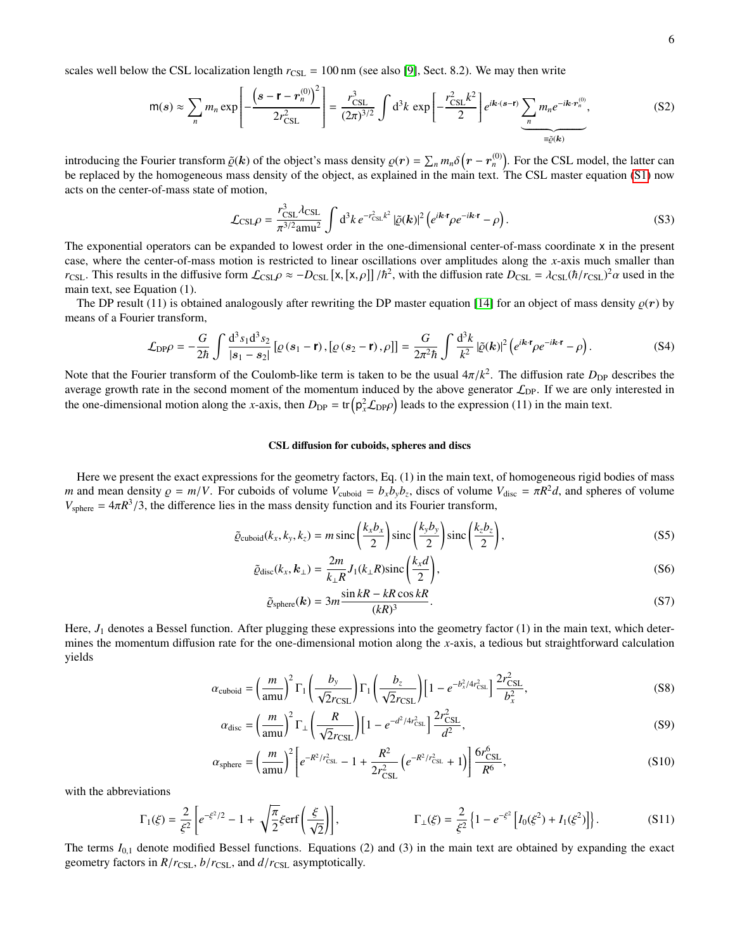scales well below the CSL localization length  $r_{\text{CSL}} = 100 \text{ nm}$  (see also [\[9\]](#page-3-5), Sect. 8.2). We may then write

$$
\mathsf{m}(s) \approx \sum_{n} m_n \exp\left[-\frac{\left(s-\mathbf{r}-r_n^{(0)}\right)^2}{2r_{\mathrm{CSL}}^2}\right] = \frac{r_{\mathrm{CSL}}^3}{(2\pi)^{3/2}} \int \mathrm{d}^3 k \, \exp\left[-\frac{r_{\mathrm{CSL}}^2 k^2}{2}\right] e^{ik \cdot (s-\mathbf{r})} \underbrace{\sum_{n} m_n e^{-ik \cdot r_n^{(0)}}}_{\equiv \tilde{\varrho}(\mathbf{k})},\tag{S2}
$$

introducing the Fourier transform  $\tilde{\varrho}(k)$  of the object's mass density  $\varrho(r) = \sum_n m_n \delta(r - r_n^{(0)})$ . For the CSL model, the latter can<br>be replaced by the homogeneous mass density of the object as explained in the main text be replaced by the homogeneous mass density of the object, as explained in the main text. The CSL master equation [\(S1\)](#page-4-25) now acts on the center-of-mass state of motion,

$$
\mathcal{L}_{\text{CSL}}\rho = \frac{r_{\text{CSL}}^3 \lambda_{\text{CSL}}}{\pi^{3/2} \text{amu}^2} \int d^3k \, e^{-r_{\text{CSL}}^2 k^2} \left| \tilde{\varrho}(\mathbf{k}) \right|^2 \left( e^{i\mathbf{k} \cdot \mathbf{r}} \rho e^{-i\mathbf{k} \cdot \mathbf{r}} - \rho \right). \tag{S3}
$$

The exponential operators can be expanded to lowest order in the one-dimensional center-of-mass coordinate x in the present case, where the center-of-mass motion is restricted to linear oscillations over amplitudes along the *x*-axis much smaller than *r*<sub>CSL</sub>. This results in the diffusive form  $\mathcal{L}_{CSL}\rho \approx -D_{CSL} [x, [x, \rho]]/\hbar^2$ , with the diffusion rate  $D_{CSL} = \lambda_{CSL} (\hbar / r_{CSL})^2 \alpha$  used in the main text, see Fouation (1) main text, see Equation (1).

The DP result (11) is obtained analogously after rewriting the DP master equation [\[14\]](#page-3-9) for an object of mass density  $\rho(r)$  by means of a Fourier transform,

$$
\mathcal{L}_{\text{DP}}\rho = -\frac{G}{2\hbar} \int \frac{\mathrm{d}^3 s_1 \mathrm{d}^3 s_2}{|s_1 - s_2|} \left[ \varrho \left( s_1 - \mathbf{r} \right), \left[ \varrho \left( s_2 - \mathbf{r} \right), \rho \right] \right] = \frac{G}{2\pi^2 \hbar} \int \frac{\mathrm{d}^3 k}{k^2} \left| \tilde{\varrho}(\mathbf{k}) \right|^2 \left( e^{i\mathbf{k} \cdot \mathbf{r}} \rho e^{-i\mathbf{k} \cdot \mathbf{r}} - \rho \right). \tag{S4}
$$

Note that the Fourier transform of the Coulomb-like term is taken to be the usual  $4\pi/k^2$ . The diffusion rate  $D_{\text{DP}}$  describes the average growth rate in the second moment of the momentum induced by the above generato average growth rate in the second moment of the momentum induced by the above generator  $\mathcal{L}_{DP}$ . If we are only interested in the one-dimensional motion along the *x*-axis, then  $D_{\text{DP}} = \text{tr} \left( p_x^2 \mathcal{L}_{\text{DP}} \rho \right)$  leads to the expression (11) in the main text.

### CSL diffusion for cuboids, spheres and discs

Here we present the exact expressions for the geometry factors, Eq. (1) in the main text, of homogeneous rigid bodies of mass *m* and mean density  $\rho = m/V$ . For cuboids of volume  $V_{\text{cuboid}} = b_x b_y b_z$ , discs of volume  $V_{\text{disc}} = \pi R^2 d$ , and spheres of volume  $V = -4\pi R^3/3$  the difference lies in the mass density function and its Fourier transform  $V_{\text{sphere}} = 4\pi R^3/3$ , the difference lies in the mass density function and its Fourier transform,

$$
\tilde{\varrho}_{\text{cuboid}}(k_x, k_y, k_z) = m \operatorname{sinc}\left(\frac{k_x b_x}{2}\right) \operatorname{sinc}\left(\frac{k_y b_y}{2}\right) \operatorname{sinc}\left(\frac{k_z b_z}{2}\right),\tag{S5}
$$

$$
\tilde{\varrho}_{\text{disc}}(k_x, k_\perp) = \frac{2m}{k_\perp R} J_1(k_\perp R) \text{sinc}\left(\frac{k_x d}{2}\right),\tag{S6}
$$

$$
\tilde{\varrho}_{\text{sphere}}(k) = 3m \frac{\sin kR - kR \cos kR}{(kR)^3}.
$$
\n(S7)

Here,  $J_1$  denotes a Bessel function. After plugging these expressions into the geometry factor (1) in the main text, which determines the momentum diffusion rate for the one-dimensional motion along the *x*-axis, a tedious but straightforward calculation yields

$$
\alpha_{\rm cuboid} = \left(\frac{m}{\rm amu}\right)^2 \Gamma_1 \left(\frac{b_y}{\sqrt{2}r_{\rm CSL}}\right) \Gamma_1 \left(\frac{b_z}{\sqrt{2}r_{\rm CSL}}\right) \left[1 - e^{-b_x^2/4r_{\rm CSL}^2}\right] \frac{2r_{\rm CSL}^2}{b_x^2},\tag{S8}
$$

$$
\alpha_{\rm disc} = \left(\frac{m}{\text{amu}}\right)^2 \Gamma_{\perp} \left(\frac{R}{\sqrt{2}r_{\rm CSL}}\right) \left[1 - e^{-d^2/4r_{\rm CSL}^2}\right] \frac{2r_{\rm CSL}^2}{d^2},\tag{S9}
$$

$$
\alpha_{\text{sphere}} = \left(\frac{m}{\text{amu}}\right)^2 \left[e^{-R^2/r_{\text{CSL}}^2} - 1 + \frac{R^2}{2r_{\text{CSL}}^2} \left(e^{-R^2/r_{\text{CSL}}^2} + 1\right)\right] \frac{6r_{\text{CSL}}^6}{R^6},\tag{S10}
$$

with the abbreviations

$$
\Gamma_1(\xi) = \frac{2}{\xi^2} \left[ e^{-\xi^2/2} - 1 + \sqrt{\frac{\pi}{2}} \xi \text{erf}\left(\frac{\xi}{\sqrt{2}}\right) \right], \qquad \qquad \Gamma_\perp(\xi) = \frac{2}{\xi^2} \left\{ 1 - e^{-\xi^2} \left[ I_0(\xi^2) + I_1(\xi^2) \right] \right\}. \tag{S11}
$$

The terms  $I_{0,1}$  denote modified Bessel functions. Equations (2) and (3) in the main text are obtained by expanding the exact geometry factors in  $R/r_{\text{CSL}}$ ,  $b/r_{\text{CSL}}$ , and  $d/r_{\text{CSL}}$  asymptotically.